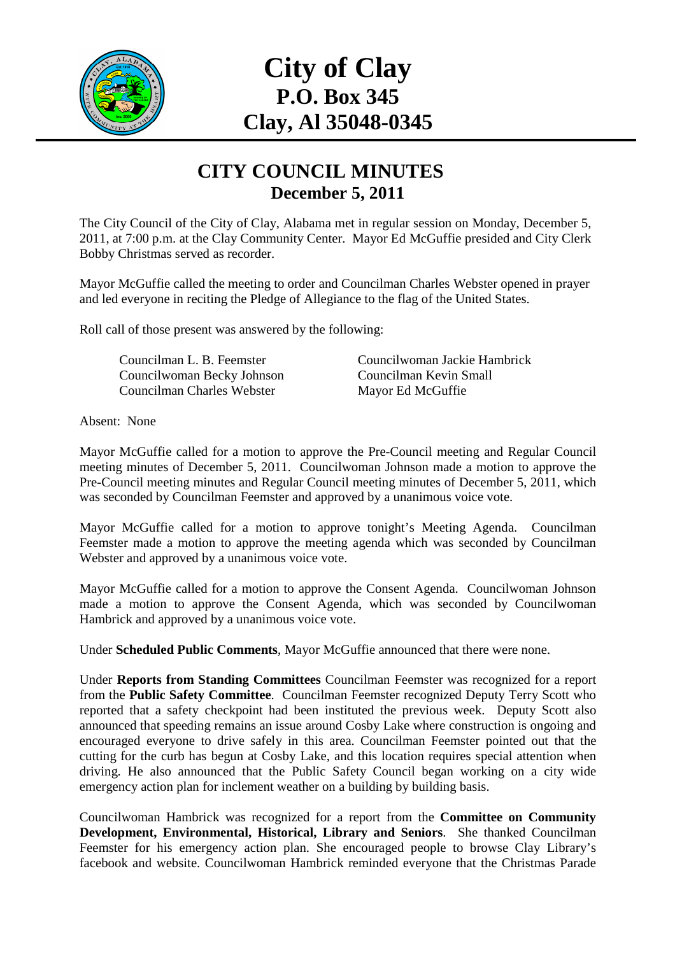

# **City of Clay P.O. Box 345 Clay, Al 35048-0345**

#### **CITY COUNCIL MINUTES December 5, 2011**

The City Council of the City of Clay, Alabama met in regular session on Monday, December 5, 2011, at 7:00 p.m. at the Clay Community Center. Mayor Ed McGuffie presided and City Clerk Bobby Christmas served as recorder.

Mayor McGuffie called the meeting to order and Councilman Charles Webster opened in prayer and led everyone in reciting the Pledge of Allegiance to the flag of the United States.

Roll call of those present was answered by the following:

Councilwoman Becky Johnson Councilman Kevin Small Councilman Charles Webster Mayor Ed McGuffie

Councilman L. B. Feemster Councilwoman Jackie Hambrick

Absent: None

Mayor McGuffie called for a motion to approve the Pre-Council meeting and Regular Council meeting minutes of December 5, 2011. Councilwoman Johnson made a motion to approve the Pre-Council meeting minutes and Regular Council meeting minutes of December 5, 2011, which was seconded by Councilman Feemster and approved by a unanimous voice vote.

Mayor McGuffie called for a motion to approve tonight's Meeting Agenda. Councilman Feemster made a motion to approve the meeting agenda which was seconded by Councilman Webster and approved by a unanimous voice vote.

Mayor McGuffie called for a motion to approve the Consent Agenda. Councilwoman Johnson made a motion to approve the Consent Agenda, which was seconded by Councilwoman Hambrick and approved by a unanimous voice vote.

Under **Scheduled Public Comments**, Mayor McGuffie announced that there were none.

Under **Reports from Standing Committees** Councilman Feemster was recognized for a report from the **Public Safety Committee**. Councilman Feemster recognized Deputy Terry Scott who reported that a safety checkpoint had been instituted the previous week. Deputy Scott also announced that speeding remains an issue around Cosby Lake where construction is ongoing and encouraged everyone to drive safely in this area. Councilman Feemster pointed out that the cutting for the curb has begun at Cosby Lake, and this location requires special attention when driving. He also announced that the Public Safety Council began working on a city wide emergency action plan for inclement weather on a building by building basis.

Councilwoman Hambrick was recognized for a report from the **Committee on Community Development, Environmental, Historical, Library and Seniors**. She thanked Councilman Feemster for his emergency action plan. She encouraged people to browse Clay Library's facebook and website. Councilwoman Hambrick reminded everyone that the Christmas Parade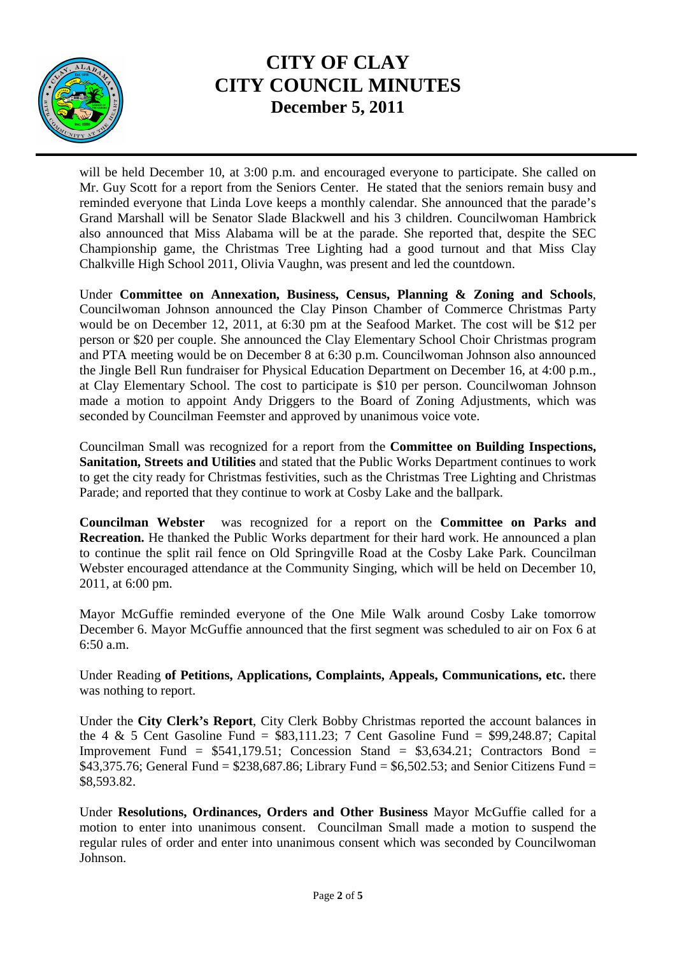

will be held December 10, at 3:00 p.m. and encouraged everyone to participate. She called on Mr. Guy Scott for a report from the Seniors Center. He stated that the seniors remain busy and reminded everyone that Linda Love keeps a monthly calendar. She announced that the parade's Grand Marshall will be Senator Slade Blackwell and his 3 children. Councilwoman Hambrick also announced that Miss Alabama will be at the parade. She reported that, despite the SEC Championship game, the Christmas Tree Lighting had a good turnout and that Miss Clay Chalkville High School 2011, Olivia Vaughn, was present and led the countdown.

Under **Committee on Annexation, Business, Census, Planning & Zoning and Schools**, Councilwoman Johnson announced the Clay Pinson Chamber of Commerce Christmas Party would be on December 12, 2011, at 6:30 pm at the Seafood Market. The cost will be \$12 per person or \$20 per couple. She announced the Clay Elementary School Choir Christmas program and PTA meeting would be on December 8 at 6:30 p.m. Councilwoman Johnson also announced the Jingle Bell Run fundraiser for Physical Education Department on December 16, at 4:00 p.m., at Clay Elementary School. The cost to participate is \$10 per person. Councilwoman Johnson made a motion to appoint Andy Driggers to the Board of Zoning Adjustments, which was seconded by Councilman Feemster and approved by unanimous voice vote.

Councilman Small was recognized for a report from the **Committee on Building Inspections, Sanitation, Streets and Utilities** and stated that the Public Works Department continues to work to get the city ready for Christmas festivities, such as the Christmas Tree Lighting and Christmas Parade; and reported that they continue to work at Cosby Lake and the ballpark.

**Councilman Webster** was recognized for a report on the **Committee on Parks and Recreation.** He thanked the Public Works department for their hard work. He announced a plan to continue the split rail fence on Old Springville Road at the Cosby Lake Park. Councilman Webster encouraged attendance at the Community Singing, which will be held on December 10, 2011, at 6:00 pm.

Mayor McGuffie reminded everyone of the One Mile Walk around Cosby Lake tomorrow December 6. Mayor McGuffie announced that the first segment was scheduled to air on Fox 6 at 6:50 a.m.

Under Reading **of Petitions, Applications, Complaints, Appeals, Communications, etc.** there was nothing to report.

Under the **City Clerk's Report**, City Clerk Bobby Christmas reported the account balances in the 4  $\&$  5 Cent Gasoline Fund = \$83,111.23; 7 Cent Gasoline Fund = \$99,248.87; Capital Improvement Fund =  $$541,179.51$ ; Concession Stand =  $$3,634.21$ ; Contractors Bond = \$43,375.76; General Fund =  $$238,687.86$ ; Library Fund =  $$6,502.53$ ; and Senior Citizens Fund = \$8,593.82.

Under **Resolutions, Ordinances, Orders and Other Business** Mayor McGuffie called for a motion to enter into unanimous consent. Councilman Small made a motion to suspend the regular rules of order and enter into unanimous consent which was seconded by Councilwoman Johnson.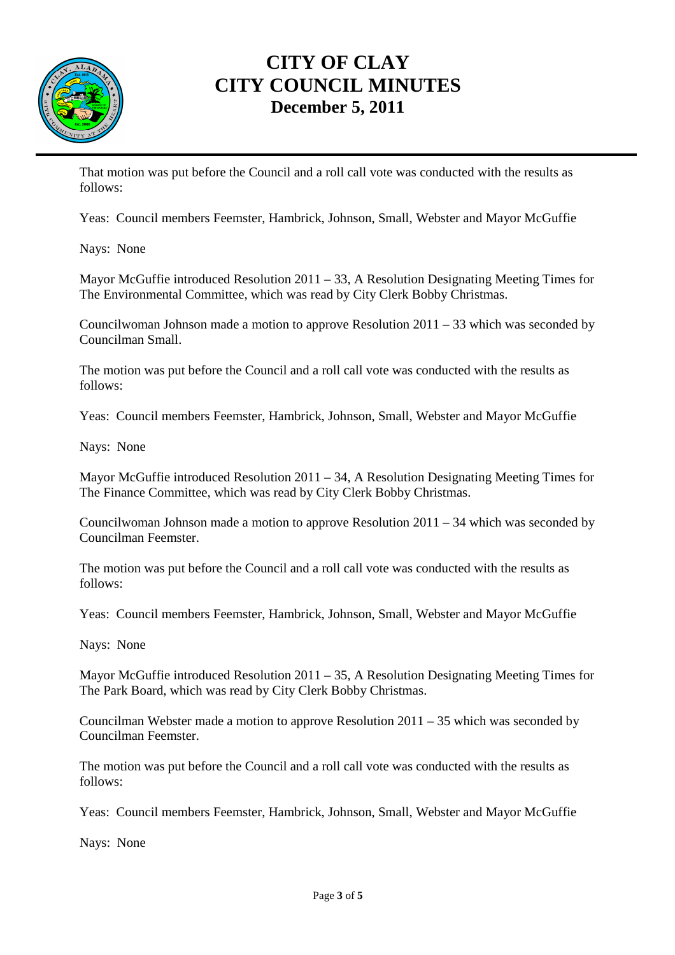

That motion was put before the Council and a roll call vote was conducted with the results as follows:

Yeas: Council members Feemster, Hambrick, Johnson, Small, Webster and Mayor McGuffie

Nays: None

Mayor McGuffie introduced Resolution 2011 – 33, A Resolution Designating Meeting Times for The Environmental Committee, which was read by City Clerk Bobby Christmas.

Councilwoman Johnson made a motion to approve Resolution 2011 – 33 which was seconded by Councilman Small.

The motion was put before the Council and a roll call vote was conducted with the results as follows:

Yeas: Council members Feemster, Hambrick, Johnson, Small, Webster and Mayor McGuffie

Nays: None

Mayor McGuffie introduced Resolution 2011 – 34, A Resolution Designating Meeting Times for The Finance Committee, which was read by City Clerk Bobby Christmas.

Councilwoman Johnson made a motion to approve Resolution 2011 – 34 which was seconded by Councilman Feemster.

The motion was put before the Council and a roll call vote was conducted with the results as follows:

Yeas: Council members Feemster, Hambrick, Johnson, Small, Webster and Mayor McGuffie

Nays: None

Mayor McGuffie introduced Resolution 2011 – 35, A Resolution Designating Meeting Times for The Park Board, which was read by City Clerk Bobby Christmas.

Councilman Webster made a motion to approve Resolution 2011 – 35 which was seconded by Councilman Feemster.

The motion was put before the Council and a roll call vote was conducted with the results as follows:

Yeas: Council members Feemster, Hambrick, Johnson, Small, Webster and Mayor McGuffie

Nays: None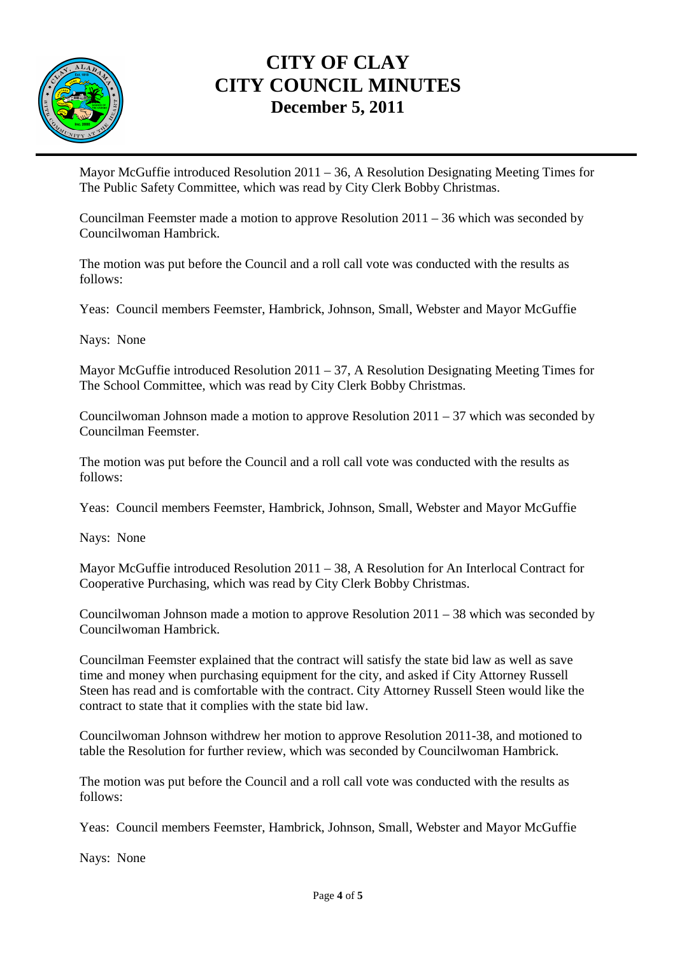

Mayor McGuffie introduced Resolution 2011 – 36, A Resolution Designating Meeting Times for The Public Safety Committee, which was read by City Clerk Bobby Christmas.

Councilman Feemster made a motion to approve Resolution 2011 – 36 which was seconded by Councilwoman Hambrick.

The motion was put before the Council and a roll call vote was conducted with the results as follows:

Yeas: Council members Feemster, Hambrick, Johnson, Small, Webster and Mayor McGuffie

Nays: None

Mayor McGuffie introduced Resolution 2011 – 37, A Resolution Designating Meeting Times for The School Committee, which was read by City Clerk Bobby Christmas.

Councilwoman Johnson made a motion to approve Resolution  $2011 - 37$  which was seconded by Councilman Feemster.

The motion was put before the Council and a roll call vote was conducted with the results as follows:

Yeas: Council members Feemster, Hambrick, Johnson, Small, Webster and Mayor McGuffie

Nays: None

Mayor McGuffie introduced Resolution 2011 – 38, A Resolution for An Interlocal Contract for Cooperative Purchasing, which was read by City Clerk Bobby Christmas.

Councilwoman Johnson made a motion to approve Resolution 2011 – 38 which was seconded by Councilwoman Hambrick.

Councilman Feemster explained that the contract will satisfy the state bid law as well as save time and money when purchasing equipment for the city, and asked if City Attorney Russell Steen has read and is comfortable with the contract. City Attorney Russell Steen would like the contract to state that it complies with the state bid law.

Councilwoman Johnson withdrew her motion to approve Resolution 2011-38, and motioned to table the Resolution for further review, which was seconded by Councilwoman Hambrick.

The motion was put before the Council and a roll call vote was conducted with the results as follows:

Yeas: Council members Feemster, Hambrick, Johnson, Small, Webster and Mayor McGuffie

Nays: None